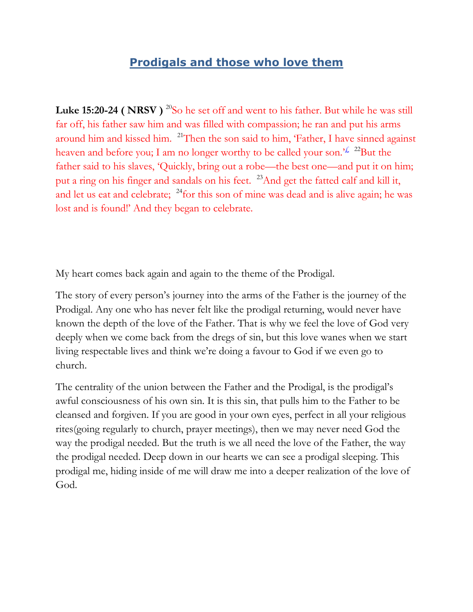## **Prodigals and those who love them**

Luke 15:20-24 (NRSV)<sup>20</sup>So he set off and went to his father. But while he was still far off, his father saw him and was filled with compassion; he ran and put his arms around him and kissed him. <sup>21</sup>Then the son said to him, 'Father, I have sinned against heaven and before you; I am no longer worthy to be called your son.<sup> $\frac{f}{f}$ </sup> <sup>22</sup>But the father said to his slaves, 'Quickly, bring out a robe—the best one—and put it on him; put a ring on his finger and sandals on his feet. <sup>23</sup>And get the fatted calf and kill it, and let us eat and celebrate; <sup>24</sup>for this son of mine was dead and is alive again; he was lost and is found!' And they began to celebrate.

My heart comes back again and again to the theme of the Prodigal.

The story of every person's journey into the arms of the Father is the journey of the Prodigal. Any one who has never felt like the prodigal returning, would never have known the depth of the love of the Father. That is why we feel the love of God very deeply when we come back from the dregs of sin, but this love wanes when we start living respectable lives and think we're doing a favour to God if we even go to church.

The centrality of the union between the Father and the Prodigal, is the prodigal's awful consciousness of his own sin. It is this sin, that pulls him to the Father to be cleansed and forgiven. If you are good in your own eyes, perfect in all your religious rites(going regularly to church, prayer meetings), then we may never need God the way the prodigal needed. But the truth is we all need the love of the Father, the way the prodigal needed. Deep down in our hearts we can see a prodigal sleeping. This prodigal me, hiding inside of me will draw me into a deeper realization of the love of God.